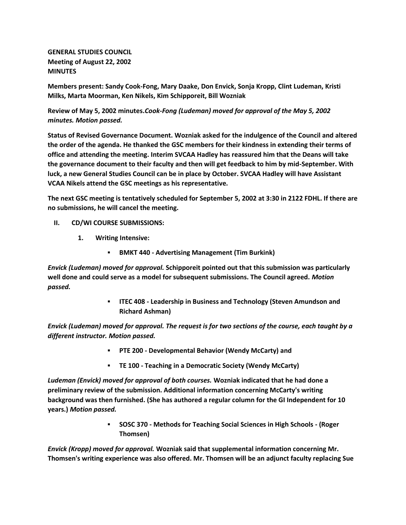**GENERAL STUDIES COUNCIL Meeting of August 22, 2002 MINUTES**

**Members present: Sandy Cook-Fong, Mary Daake, Don Envick, Sonja Kropp, Clint Ludeman, Kristi Milks, Marta Moorman, Ken Nikels, Kim Schipporeit, Bill Wozniak**

**Review of May 5, 2002 minutes.***Cook-Fong (Ludeman) moved for approval of the May 5, 2002 minutes. Motion passed.*

**Status of Revised Governance Document. Wozniak asked for the indulgence of the Council and altered the order of the agenda. He thanked the GSC members for their kindness in extending their terms of office and attending the meeting. Interim SVCAA Hadley has reassured him that the Deans will take the governance document to their faculty and then will get feedback to him by mid-September. With luck, a new General Studies Council can be in place by October. SVCAA Hadley will have Assistant VCAA Nikels attend the GSC meetings as his representative.**

**The next GSC meeting is tentatively scheduled for September 5, 2002 at 3:30 in 2122 FDHL. If there are no submissions, he will cancel the meeting.**

- **II. CD/WI COURSE SUBMISSIONS:**
	- **1. Writing Intensive:**
		- **BMKT 440 - Advertising Management (Tim Burkink)**

*Envick (Ludeman) moved for approval.* **Schipporeit pointed out that this submission was particularly well done and could serve as a model for subsequent submissions. The Council agreed.** *Motion passed.*

> **ITEC 408 - Leadership in Business and Technology (Steven Amundson and Richard Ashman)**

*Envick (Ludeman) moved for approval. The request is for two sections of the course, each taught by a different instructor. Motion passed.*

- **PTE 200 - Developmental Behavior (Wendy McCarty) and**
- **TE 100 - Teaching in a Democratic Society (Wendy McCarty)**

*Ludeman (Envick) moved for approval of both courses.* **Wozniak indicated that he had done a preliminary review of the submission. Additional information concerning McCarty's writing background was then furnished. (She has authored a regular column for the GI Independent for 10 years.)** *Motion passed.*

> **SOSC 370 - Methods for Teaching Social Sciences in High Schools - (Roger Thomsen)**

*Envick (Kropp) moved for approval.* **Wozniak said that supplemental information concerning Mr. Thomsen's writing experience was also offered. Mr. Thomsen will be an adjunct faculty replacing Sue**